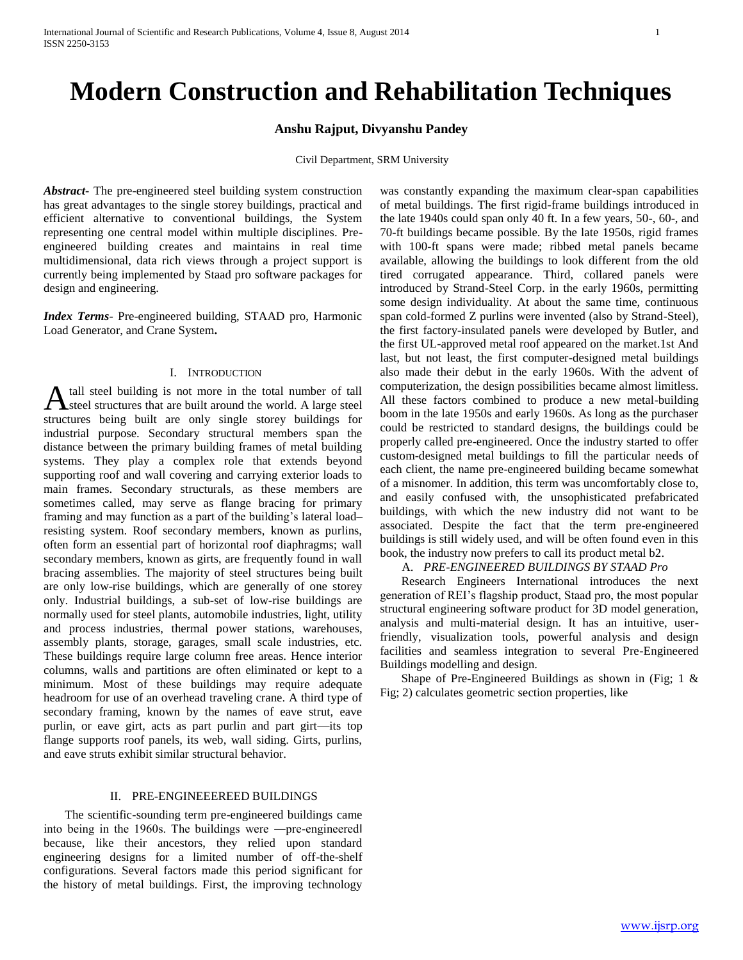# **Modern Construction and Rehabilitation Techniques**

### **Anshu Rajput, Divyanshu Pandey**

Civil Department, SRM University

*Abstract***-** The pre-engineered steel building system construction has great advantages to the single storey buildings, practical and efficient alternative to conventional buildings, the System representing one central model within multiple disciplines. Preengineered building creates and maintains in real time multidimensional, data rich views through a project support is currently being implemented by Staad pro software packages for design and engineering.

*Index Terms*- Pre-engineered building, STAAD pro, Harmonic Load Generator, and Crane System**.**

### I. INTRODUCTION

tall steel building is not more in the total number of tall A tall steel building is not more in the total number of tall<br>A large steel structures that are built around the world. A large steel structures being built are only single storey buildings for industrial purpose. Secondary structural members span the distance between the primary building frames of metal building systems. They play a complex role that extends beyond supporting roof and wall covering and carrying exterior loads to main frames. Secondary structurals, as these members are sometimes called, may serve as flange bracing for primary framing and may function as a part of the building's lateral load– resisting system. Roof secondary members, known as purlins, often form an essential part of horizontal roof diaphragms; wall secondary members, known as girts, are frequently found in wall bracing assemblies. The majority of steel structures being built are only low-rise buildings, which are generally of one storey only. Industrial buildings, a sub-set of low-rise buildings are normally used for steel plants, automobile industries, light, utility and process industries, thermal power stations, warehouses, assembly plants, storage, garages, small scale industries, etc. These buildings require large column free areas. Hence interior columns, walls and partitions are often eliminated or kept to a minimum. Most of these buildings may require adequate headroom for use of an overhead traveling crane. A third type of secondary framing, known by the names of eave strut, eave purlin, or eave girt, acts as part purlin and part girt—its top flange supports roof panels, its web, wall siding. Girts, purlins, and eave struts exhibit similar structural behavior.

#### II. PRE-ENGINEEEREED BUILDINGS

 The scientific-sounding term pre-engineered buildings came into being in the 1960s. The buildings were ―pre-engineered‖ because, like their ancestors, they relied upon standard engineering designs for a limited number of off-the-shelf configurations. Several factors made this period significant for the history of metal buildings. First, the improving technology

was constantly expanding the maximum clear-span capabilities of metal buildings. The first rigid-frame buildings introduced in the late 1940s could span only 40 ft. In a few years, 50-, 60-, and 70-ft buildings became possible. By the late 1950s, rigid frames with 100-ft spans were made; ribbed metal panels became available, allowing the buildings to look different from the old tired corrugated appearance. Third, collared panels were introduced by Strand-Steel Corp. in the early 1960s, permitting some design individuality. At about the same time, continuous span cold-formed Z purlins were invented (also by Strand-Steel), the first factory-insulated panels were developed by Butler, and the first UL-approved metal roof appeared on the market.1st And last, but not least, the first computer-designed metal buildings also made their debut in the early 1960s. With the advent of computerization, the design possibilities became almost limitless. All these factors combined to produce a new metal-building boom in the late 1950s and early 1960s. As long as the purchaser could be restricted to standard designs, the buildings could be properly called pre-engineered. Once the industry started to offer custom-designed metal buildings to fill the particular needs of each client, the name pre-engineered building became somewhat of a misnomer. In addition, this term was uncomfortably close to, and easily confused with, the unsophisticated prefabricated buildings, with which the new industry did not want to be associated. Despite the fact that the term pre-engineered buildings is still widely used, and will be often found even in this book, the industry now prefers to call its product metal b2.

#### A. *PRE-ENGINEERED BUILDINGS BY STAAD Pro*

 Research Engineers International introduces the next generation of REI's flagship product, Staad pro, the most popular structural engineering software product for 3D model generation, analysis and multi-material design. It has an intuitive, userfriendly, visualization tools, powerful analysis and design facilities and seamless integration to several Pre-Engineered Buildings modelling and design.

 Shape of Pre-Engineered Buildings as shown in (Fig; 1 & Fig; 2) calculates geometric section properties, like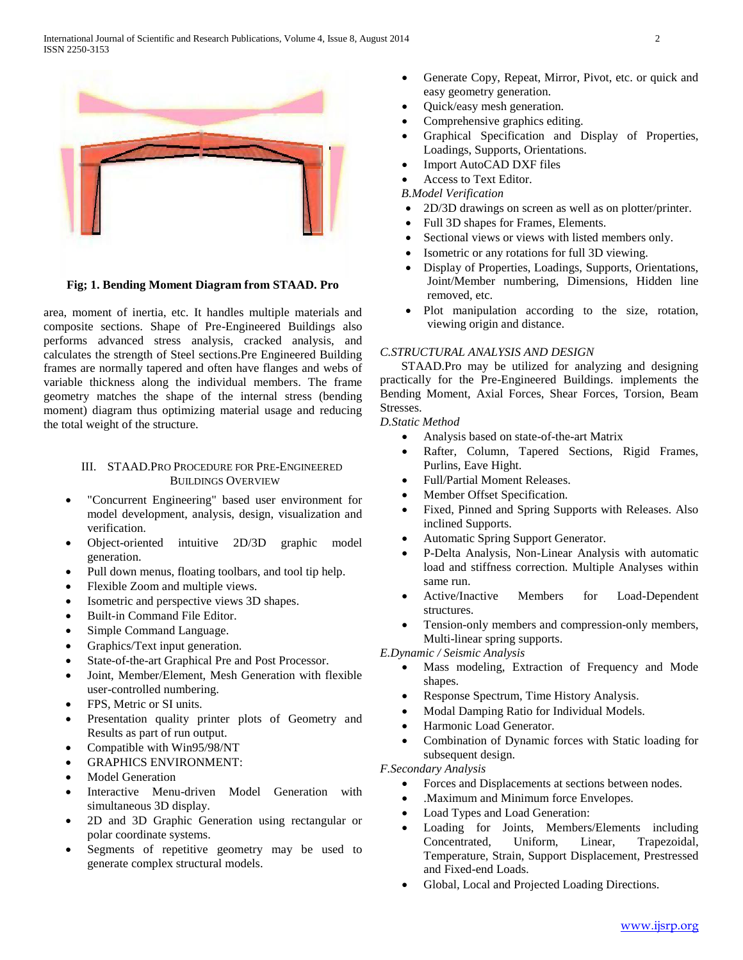International Journal of Scientific and Research Publications, Volume 4, Issue 8, August 2014 2 ISSN 2250-3153



**Fig; 1. Bending Moment Diagram from STAAD. Pro**

area, moment of inertia, etc. It handles multiple materials and composite sections. Shape of Pre-Engineered Buildings also performs advanced stress analysis, cracked analysis, and calculates the strength of Steel sections.Pre Engineered Building frames are normally tapered and often have flanges and webs of variable thickness along the individual members. The frame geometry matches the shape of the internal stress (bending moment) diagram thus optimizing material usage and reducing the total weight of the structure.

#### III. STAAD.PRO PROCEDURE FOR PRE-ENGINEERED BUILDINGS OVERVIEW

- "Concurrent Engineering" based user environment for model development, analysis, design, visualization and verification.
- Object-oriented intuitive 2D/3D graphic model generation.
- Pull down menus, floating toolbars, and tool tip help.
- Flexible Zoom and multiple views.
- Isometric and perspective views 3D shapes.
- Built-in Command File Editor.
- Simple Command Language.
- Graphics/Text input generation.
- State-of-the-art Graphical Pre and Post Processor.
- Joint, Member/Element, Mesh Generation with flexible user-controlled numbering.
- FPS, Metric or SI units.
- Presentation quality printer plots of Geometry and Results as part of run output.
- Compatible with Win95/98/NT
- GRAPHICS ENVIRONMENT:
- Model Generation
- Interactive Menu-driven Model Generation with simultaneous 3D display.
- 2D and 3D Graphic Generation using rectangular or polar coordinate systems.
- Segments of repetitive geometry may be used to generate complex structural models.
- Generate Copy, Repeat, Mirror, Pivot, etc. or quick and easy geometry generation.
- Quick/easy mesh generation.
- Comprehensive graphics editing.
- Graphical Specification and Display of Properties, Loadings, Supports, Orientations.
- Import AutoCAD DXF files
- Access to Text Editor.
- *B.Model Verification*
- 2D/3D drawings on screen as well as on plotter/printer.
- Full 3D shapes for Frames, Elements.
- Sectional views or views with listed members only.
- Isometric or any rotations for full 3D viewing.
- Display of Properties, Loadings, Supports, Orientations, Joint/Member numbering, Dimensions, Hidden line removed, etc.
- Plot manipulation according to the size, rotation, viewing origin and distance.

#### *C.STRUCTURAL ANALYSIS AND DESIGN*

 STAAD.Pro may be utilized for analyzing and designing practically for the Pre-Engineered Buildings. implements the Bending Moment, Axial Forces, Shear Forces, Torsion, Beam Stresses.

## *D.Static Method*

- Analysis based on state-of-the-art Matrix
- Rafter, Column, Tapered Sections, Rigid Frames, Purlins, Eave Hight.
- Full/Partial Moment Releases.
- Member Offset Specification.
- Fixed, Pinned and Spring Supports with Releases. Also inclined Supports.
- Automatic Spring Support Generator.
- P-Delta Analysis, Non-Linear Analysis with automatic load and stiffness correction. Multiple Analyses within same run.
- Active/Inactive Members for Load-Dependent structures.
- Tension-only members and compression-only members, Multi-linear spring supports.

*E.Dynamic / Seismic Analysis*

- Mass modeling, Extraction of Frequency and Mode shapes.
- Response Spectrum, Time History Analysis.
- Modal Damping Ratio for Individual Models.
- Harmonic Load Generator.
- Combination of Dynamic forces with Static loading for subsequent design.

*F.Secondary Analysis*

- Forces and Displacements at sections between nodes.
- .Maximum and Minimum force Envelopes.
- Load Types and Load Generation:
- Loading for Joints, Members/Elements including Concentrated, Uniform, Linear, Trapezoidal, Temperature, Strain, Support Displacement, Prestressed and Fixed-end Loads.
- Global, Local and Projected Loading Directions.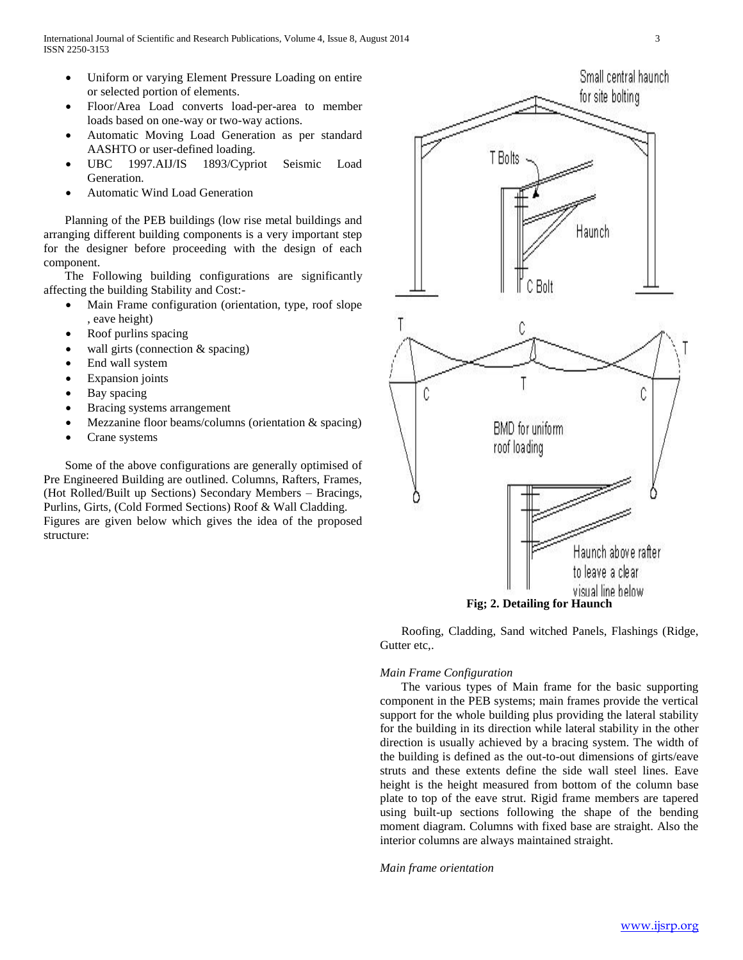- Uniform or varying Element Pressure Loading on entire or selected portion of elements.
- Floor/Area Load converts load-per-area to member loads based on one-way or two-way actions.
- Automatic Moving Load Generation as per standard AASHTO or user-defined loading.
- UBC 1997.AIJ/IS 1893/Cypriot Seismic Load Generation.
- Automatic Wind Load Generation

 Planning of the PEB buildings (low rise metal buildings and arranging different building components is a very important step for the designer before proceeding with the design of each component.

 The Following building configurations are significantly affecting the building Stability and Cost:-

- Main Frame configuration (orientation, type, roof slope , eave height)
- Roof purlins spacing
- wall girts (connection & spacing)
- End wall system
- Expansion joints
- Bay spacing
- Bracing systems arrangement
- Mezzanine floor beams/columns (orientation & spacing)
- Crane systems

 Some of the above configurations are generally optimised of Pre Engineered Building are outlined. Columns, Rafters, Frames, (Hot Rolled/Built up Sections) Secondary Members – Bracings, Purlins, Girts, (Cold Formed Sections) Roof & Wall Cladding. Figures are given below which gives the idea of the proposed structure:



 Roofing, Cladding, Sand witched Panels, Flashings (Ridge, Gutter etc,.

#### *Main Frame Configuration*

 The various types of Main frame for the basic supporting component in the PEB systems; main frames provide the vertical support for the whole building plus providing the lateral stability for the building in its direction while lateral stability in the other direction is usually achieved by a bracing system. The width of the building is defined as the out-to-out dimensions of girts/eave struts and these extents define the side wall steel lines. Eave height is the height measured from bottom of the column base plate to top of the eave strut. Rigid frame members are tapered using built-up sections following the shape of the bending moment diagram. Columns with fixed base are straight. Also the interior columns are always maintained straight.

*Main frame orientation*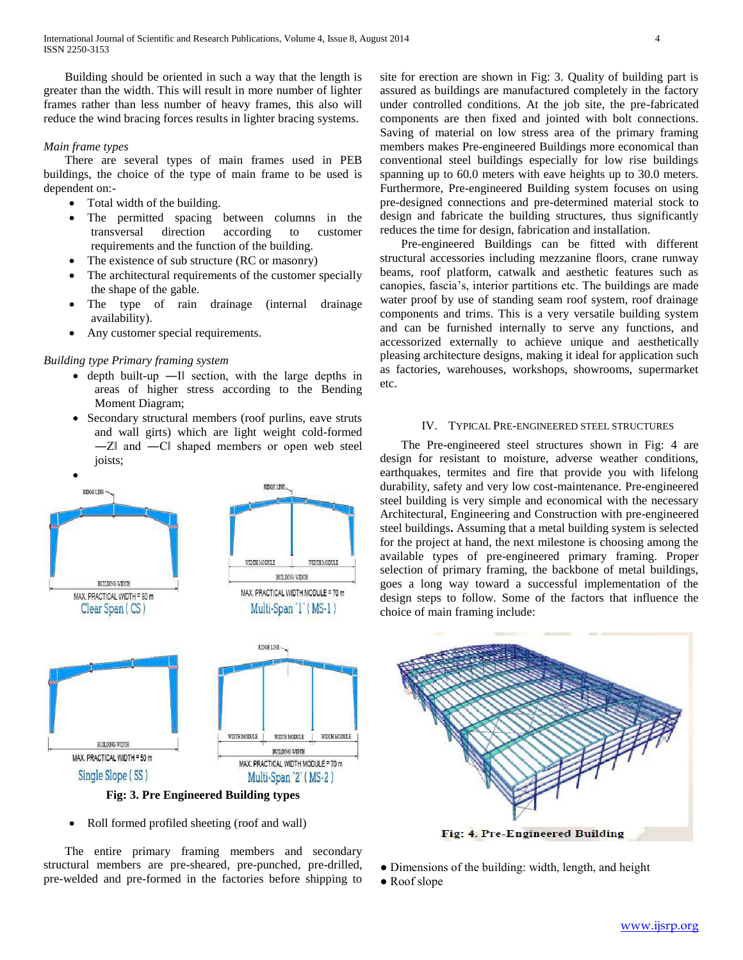Building should be oriented in such a way that the length is greater than the width. This will result in more number of lighter frames rather than less number of heavy frames, this also will reduce the wind bracing forces results in lighter bracing systems.

#### *Main frame types*

 There are several types of main frames used in PEB buildings, the choice of the type of main frame to be used is dependent on:-

- Total width of the building.
- The permitted spacing between columns in the transversal direction according to customer requirements and the function of the building.
- The existence of sub structure (RC or masonry)
- The architectural requirements of the customer specially the shape of the gable.
- The type of rain drainage (internal drainage availability).
- Any customer special requirements.

#### *Building type Primary framing system*

- depth built-up —II section, with the large depths in areas of higher stress according to the Bending Moment Diagram;
- Secondary structural members (roof purlins, eave struts and wall girts) which are light weight cold-formed ―Z‖ and ―C‖ shaped members or open web steel joists;



Roll formed profiled sheeting (roof and wall)

 The entire primary framing members and secondary structural members are pre-sheared, pre-punched, pre-drilled, pre-welded and pre-formed in the factories before shipping to site for erection are shown in Fig: 3. Quality of building part is assured as buildings are manufactured completely in the factory under controlled conditions. At the job site, the pre-fabricated components are then fixed and jointed with bolt connections. Saving of material on low stress area of the primary framing members makes Pre-engineered Buildings more economical than conventional steel buildings especially for low rise buildings spanning up to 60.0 meters with eave heights up to 30.0 meters. Furthermore, Pre-engineered Building system focuses on using pre-designed connections and pre-determined material stock to design and fabricate the building structures, thus significantly reduces the time for design, fabrication and installation.

 Pre-engineered Buildings can be fitted with different structural accessories including mezzanine floors, crane runway beams, roof platform, catwalk and aesthetic features such as canopies, fascia's, interior partitions etc. The buildings are made water proof by use of standing seam roof system, roof drainage components and trims. This is a very versatile building system and can be furnished internally to serve any functions, and accessorized externally to achieve unique and aesthetically pleasing architecture designs, making it ideal for application such as factories, warehouses, workshops, showrooms, supermarket etc.

#### IV. TYPICAL PRE-ENGINEERED STEEL STRUCTURES

 The Pre-engineered steel structures shown in Fig: 4 are design for resistant to moisture, adverse weather conditions, earthquakes, termites and fire that provide you with lifelong durability, safety and very low cost-maintenance. Pre-engineered steel building is very simple and economical with the necessary Architectural, Engineering and Construction with pre-engineered steel buildings**.** Assuming that a metal building system is selected for the project at hand, the next milestone is choosing among the available types of pre-engineered primary framing. Proper selection of primary framing, the backbone of metal buildings, goes a long way toward a successful implementation of the design steps to follow. Some of the factors that influence the choice of main framing include:



- Dimensions of the building: width, length, and height
- Roof slope